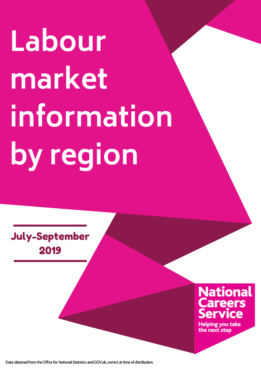# July-September 2019

# **National Careers**<br>Service

**Helping you take** the next step

Data obtained from the Office for National Statistics and GOV.uk, correct at time of distribution.

**Labour market information by region**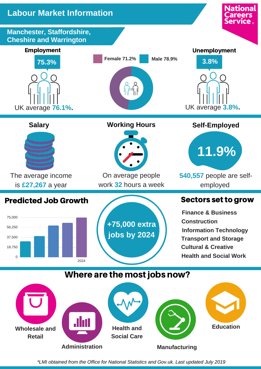**Manchester, Staffordshire, Cheshire and Warrington**

#### Predicted Job Growth

**Cultural & Creative Health and Social Work Information Technology jobs by 2024 Transport and Storage Finance & Business**

# Where are the most jobs now?

**Construction +75,000 extra**

#### Sectors set to grow

**National** 

**Careers** 

**Service** 。

*\*LMI obtained from the Office for National Statistics and Gov.uk. Last updated July 2019*





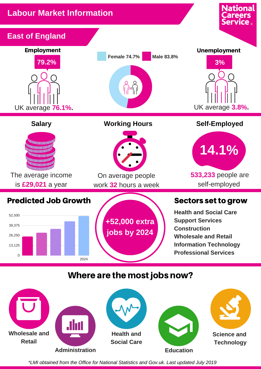*\*LMI obtained from the Office for National Statistics and Gov.uk. Last updated July 2019*





**+52,000 extra jobs by 2024**

**Health and Social Care Support Services Construction Wholesale and Retail Information Technology**



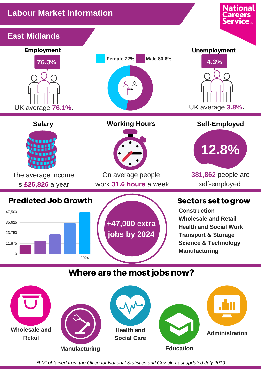#### Sectors set to grow

**National** 

*\*LMI obtained from the Office for National Statistics and Gov.uk. Last updated July 2019*



**Construction Wholesale and Retail Health and Social Work Transport & Storage Science & Technology Manufacturing**



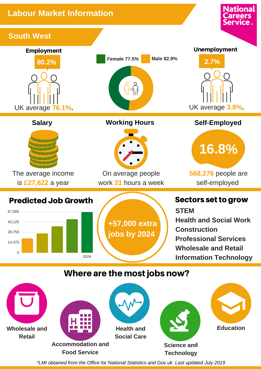*\*LMI obtained from the Office for National Statistics and Gov.uk. Last updated July 2019*

Sectors set to grow **STEM Health and Social Work Construction Professional Services Wholesale and Retail Information Technology**

**National** 





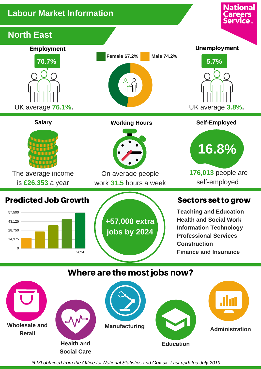#### Sectors set to grow

# **Careers Service** ® **North East** Employment Unemployment **Female 67.2% Male 74.2% 70.7% 5.7%**UK average **76.1%.** UK average **3.8%. Salary Working Hours Self-Employed**



*\*LMI obtained from the Office for National Statistics and Gov.uk. Last updated July 2019*

The average income is **£26,353** a year



On average people work **31.5** hours a week



**+57,000 extra jobs by 2024**

**Teaching and Education Health and Social Work Information Technology Professional Services Construction Finance and Insurance**

#### Where are the most jobs now?





**16.8%**

**National** 

**176,013** people are self-employed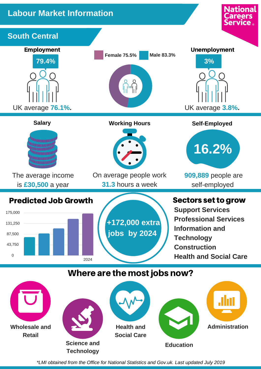*\*LMI obtained from the Office for National Statistics and Gov.uk. Last updated July 2019*

# **+172,000 extra jobs by 2024**

is **£30,500** a year

**31.3** hours a week



**Support Services Professional Services Information and Technology Construction Health and Social Care**

## Where are the most jobs now?





self-employed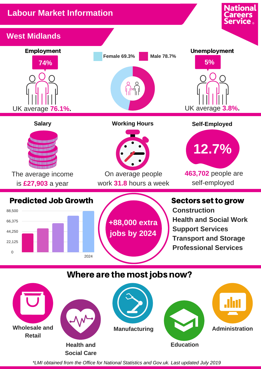

*\*LMI obtained from the Office for National Statistics and Gov.uk. Last updated July 2019*



**+88,000 extra jobs by 2024**

**Construction Health and Social Work Support Services Transport and Storage Professional Services**









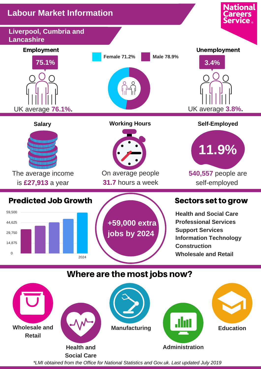*\*LMI obtained from the Office for National Statistics and Gov.uk. Last updated July 2019*



# **+59,000 extra jobs by 2024**

**Health and Social Care Professional Services Support Services Information Technology Construction Wholesale and Retail**



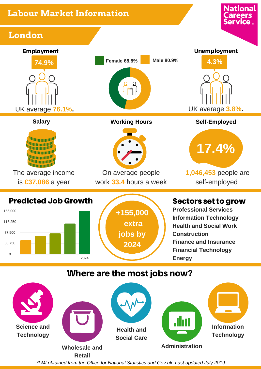





**Professional Services Information Technology Health and Social Work Construction Finance and Insurance Financial Technology Energy**

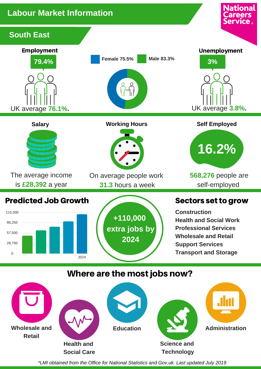*\*LMI obtained from the Office for National Statistics and Gov.uk. Last updated July 2019*





**Construction Health and Social Work Professional Services Wholesale and Retail Support Services Transport and Storage**



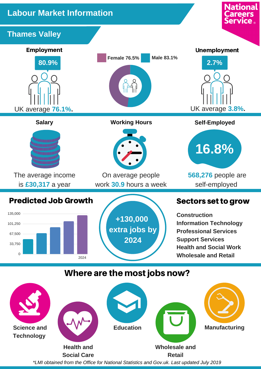#### Sectors set to grow

**National** 







**Construction Information Technology Professional Services Support Services Health and Social Work Wholesale and Retail**

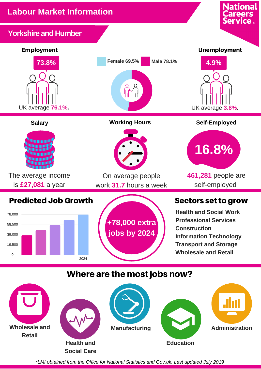#### Sectors set to grow

**National** 

**Careers**<br>Service

*\*LMI obtained from the Office for National Statistics and Gov.uk. Last updated July 2019*



#### **Yorkshire and Humber**



**Health and Social Work Professional Services Construction Information Technology Transport and Storage Wholesale and Retail**